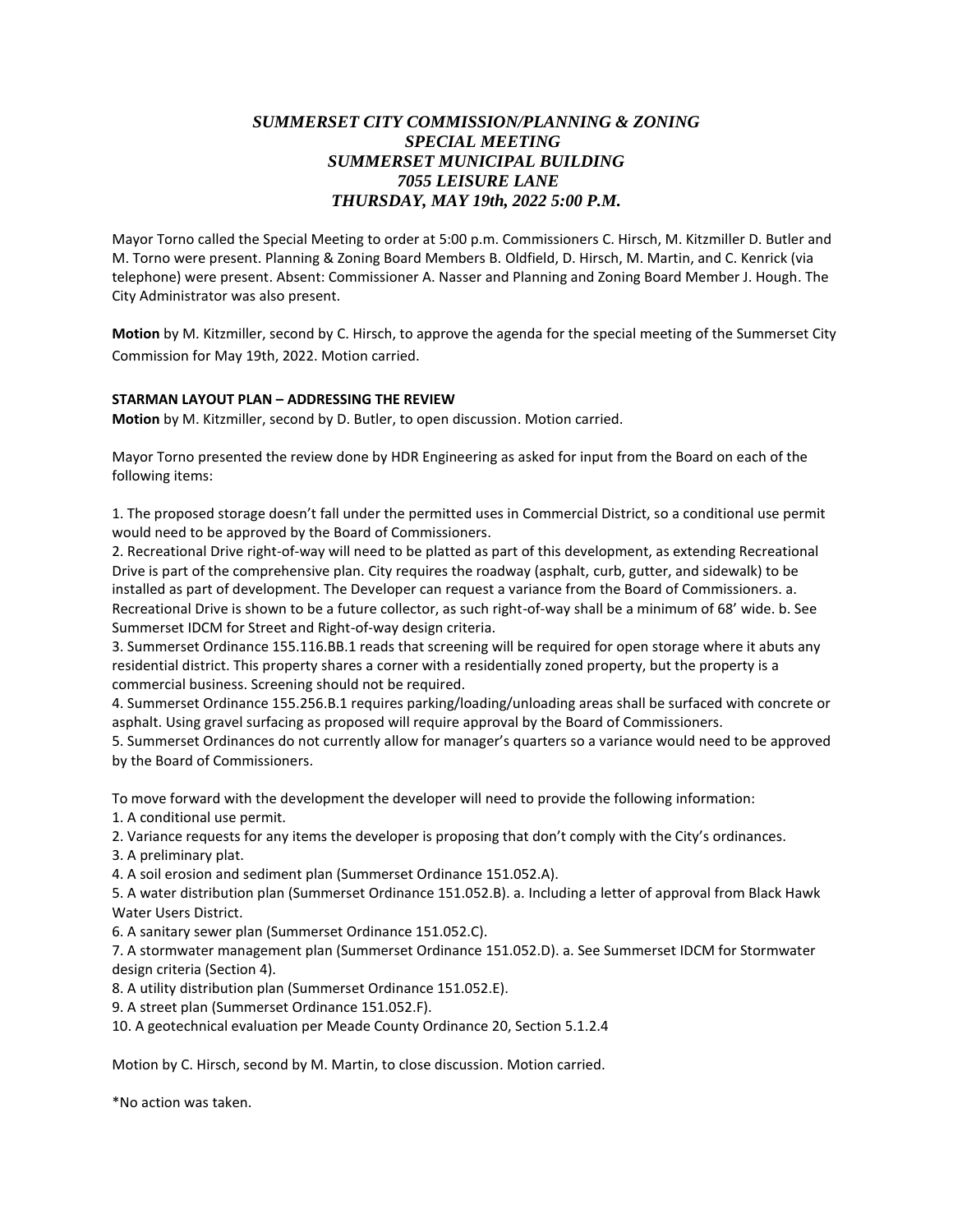## *SUMMERSET CITY COMMISSION/PLANNING & ZONING SPECIAL MEETING SUMMERSET MUNICIPAL BUILDING 7055 LEISURE LANE THURSDAY, MAY 19th, 2022 5:00 P.M.*

Mayor Torno called the Special Meeting to order at 5:00 p.m. Commissioners C. Hirsch, M. Kitzmiller D. Butler and M. Torno were present. Planning & Zoning Board Members B. Oldfield, D. Hirsch, M. Martin, and C. Kenrick (via telephone) were present. Absent: Commissioner A. Nasser and Planning and Zoning Board Member J. Hough. The City Administrator was also present.

**Motion** by M. Kitzmiller, second by C. Hirsch, to approve the agenda for the special meeting of the Summerset City Commission for May 19th, 2022. Motion carried.

## **STARMAN LAYOUT PLAN – ADDRESSING THE REVIEW**

**Motion** by M. Kitzmiller, second by D. Butler, to open discussion. Motion carried.

Mayor Torno presented the review done by HDR Engineering as asked for input from the Board on each of the following items:

1. The proposed storage doesn't fall under the permitted uses in Commercial District, so a conditional use permit would need to be approved by the Board of Commissioners.

2. Recreational Drive right-of-way will need to be platted as part of this development, as extending Recreational Drive is part of the comprehensive plan. City requires the roadway (asphalt, curb, gutter, and sidewalk) to be installed as part of development. The Developer can request a variance from the Board of Commissioners. a. Recreational Drive is shown to be a future collector, as such right-of-way shall be a minimum of 68' wide. b. See Summerset IDCM for Street and Right-of-way design criteria.

3. Summerset Ordinance 155.116.BB.1 reads that screening will be required for open storage where it abuts any residential district. This property shares a corner with a residentially zoned property, but the property is a commercial business. Screening should not be required.

4. Summerset Ordinance 155.256.B.1 requires parking/loading/unloading areas shall be surfaced with concrete or asphalt. Using gravel surfacing as proposed will require approval by the Board of Commissioners.

5. Summerset Ordinances do not currently allow for manager's quarters so a variance would need to be approved by the Board of Commissioners.

To move forward with the development the developer will need to provide the following information:

1. A conditional use permit.

2. Variance requests for any items the developer is proposing that don't comply with the City's ordinances.

3. A preliminary plat.

4. A soil erosion and sediment plan (Summerset Ordinance 151.052.A).

5. A water distribution plan (Summerset Ordinance 151.052.B). a. Including a letter of approval from Black Hawk Water Users District.

6. A sanitary sewer plan (Summerset Ordinance 151.052.C).

7. A stormwater management plan (Summerset Ordinance 151.052.D). a. See Summerset IDCM for Stormwater design criteria (Section 4).

8. A utility distribution plan (Summerset Ordinance 151.052.E).

9. A street plan (Summerset Ordinance 151.052.F).

10. A geotechnical evaluation per Meade County Ordinance 20, Section 5.1.2.4

Motion by C. Hirsch, second by M. Martin, to close discussion. Motion carried.

\*No action was taken.